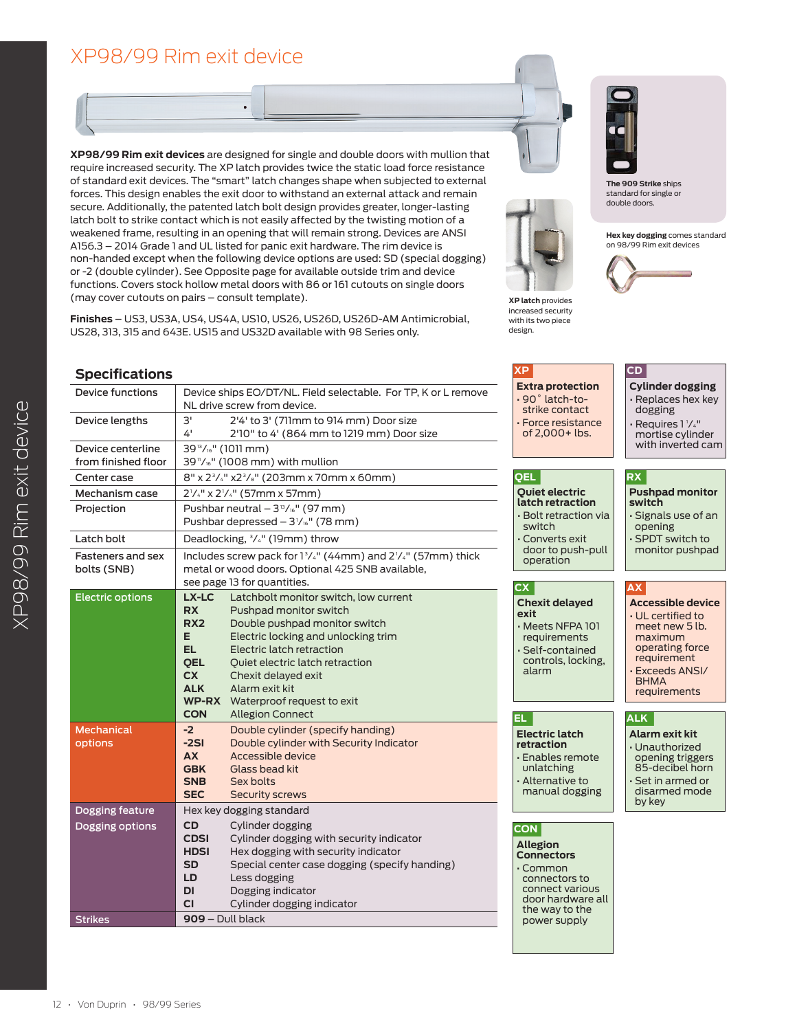# XP98/99 Rim exit device

**XP98/99 Rim exit devices** are designed for single and double doors with mullion that require increased security. The XP latch provides twice the static load force resistance of standard exit devices. The "smart" latch changes shape when subjected to external forces. This design enables the exit door to withstand an external attack and remain secure. Additionally, the patented latch bolt design provides greater, longer-lasting latch bolt to strike contact which is not easily affected by the twisting motion of a weakened frame, resulting in an opening that will remain strong. Devices are ANSI A156.3 – 2014 Grade 1 and UL listed for panic exit hardware. The rim device is non-handed except when the following device options are used: SD (special dogging) or -2 (double cylinder). See Opposite page for available outside trim and device functions. Covers stock hollow metal doors with 86 or 161 cutouts on single doors (may cover cutouts on pairs – consult template).



**The 909 Strike** ships standard for single or double doors.

**Hex key dogging** comes standard on 98/99 Rim exit devices



**Finishes** – US3, US3A, US4, US4A, US10, US26, US26D, US26D-AM Antimicrobial, US28, 313, 315 and 643E. US15 and US32D available with 98 Series only.

## **Specifications**

| Device ships EO/DT/NL. Field selectable. For TP, K or L remove<br>NL drive screw from device.                                                                                                                                                                                                                                                                                                                                 |  |  |  |  |
|-------------------------------------------------------------------------------------------------------------------------------------------------------------------------------------------------------------------------------------------------------------------------------------------------------------------------------------------------------------------------------------------------------------------------------|--|--|--|--|
| 3'<br>2'4' to 3' (711mm to 914 mm) Door size<br>4'<br>2'10" to 4' (864 mm to 1219 mm) Door size                                                                                                                                                                                                                                                                                                                               |  |  |  |  |
| 39 <sup>13</sup> / <sub>16</sub> " (1011 mm)<br>39"/16" (1008 mm) with mullion                                                                                                                                                                                                                                                                                                                                                |  |  |  |  |
| 8" x 2 <sup>3</sup> / <sub>4</sub> " x2 <sup>3</sup> / <sub>8</sub> " (203mm x 70mm x 60mm)                                                                                                                                                                                                                                                                                                                                   |  |  |  |  |
| $2^{1/4}$ " x $2^{1/4}$ " (57mm x 57mm)                                                                                                                                                                                                                                                                                                                                                                                       |  |  |  |  |
| Pushbar neutral $-3^{13}/16''$ (97 mm)<br>Pushbar depressed $-3\frac{1}{16}$ " (78 mm)                                                                                                                                                                                                                                                                                                                                        |  |  |  |  |
| Deadlocking, <sup>3</sup> / <sub>4</sub> " (19mm) throw                                                                                                                                                                                                                                                                                                                                                                       |  |  |  |  |
| Includes screw pack for 13/4" (44mm) and 21/4" (57mm) thick<br>metal or wood doors. Optional 425 SNB available,<br>see page 13 for quantities.                                                                                                                                                                                                                                                                                |  |  |  |  |
| LX-LC<br>Latchbolt monitor switch, low current<br><b>RX</b><br>Pushpad monitor switch<br>RX <sub>2</sub><br>Double pushpad monitor switch<br>E.<br>Electric locking and unlocking trim<br>EL.<br>Electric latch retraction<br>Oujet electric latch retraction<br><b>OEL</b><br>CX.<br>Chexit delayed exit<br><b>ALK</b><br>Alarm exit kit<br><b>WP-RX</b> Waterproof request to exit<br><b>CON</b><br><b>Allegion Connect</b> |  |  |  |  |
| $-2$<br>Double cylinder (specify handing)<br>$-2S1$<br>Double cylinder with Security Indicator<br><b>AX</b><br>Accessible device<br>Glass bead kit<br><b>GBK</b><br>Sex bolts<br><b>SNB</b><br><b>SEC</b><br><b>Security screws</b>                                                                                                                                                                                           |  |  |  |  |
| Hex key dogging standard                                                                                                                                                                                                                                                                                                                                                                                                      |  |  |  |  |
| <b>CD</b><br>Cylinder dogging<br>Cylinder dogging with security indicator<br><b>CDSI</b><br>Hex dogging with security indicator<br><b>HDSI</b><br>SD<br>Special center case dogging (specify handing)<br>LD<br>Less dogging<br>DI<br>Dogging indicator<br>Cylinder dogging indicator<br>СI                                                                                                                                    |  |  |  |  |
| $909 - Dull black$                                                                                                                                                                                                                                                                                                                                                                                                            |  |  |  |  |
|                                                                                                                                                                                                                                                                                                                                                                                                                               |  |  |  |  |

#### **QEL Quiet electric latch retraction**  • Bolt retraction via **RX Pushpad monitor switch XP Extra protection** • 90˚ latch-tostrike contact • Force resistance of 2,000+ lbs. **CD Cylinder dogging**

**XP latch** provides increased security with its two piece design.

- switch Converts exit door to push-pull
- operation

#### **CX**

**Chexit delayed exit**

- Meets NFPA 101 requirements Self-contained
- controls, locking, alarm

**ALK**

**AX**

by key

**Alarm exit kit** • Unauthorized opening triggers 85-decibel horn Set in armed or disarmed mode

• Signals use of an opening • SPDT switch to monitor pushpad

• Replaces hex key dogging  $\cdot$  Requires 1  $\frac{1}{4}$ " mortise cylinder with inverted cam

**Accessible device** • UL certified to meet new 5 lb. maximum operating force requirement • Exceeds ANSI/ BHMA requirements

**EL Electric latch retraction** • Enables remote unlatching • Alternative to

manual dogging

**CON**

**Allegion Connectors** • Common connectors to connect various door hardware all the way to the power supply